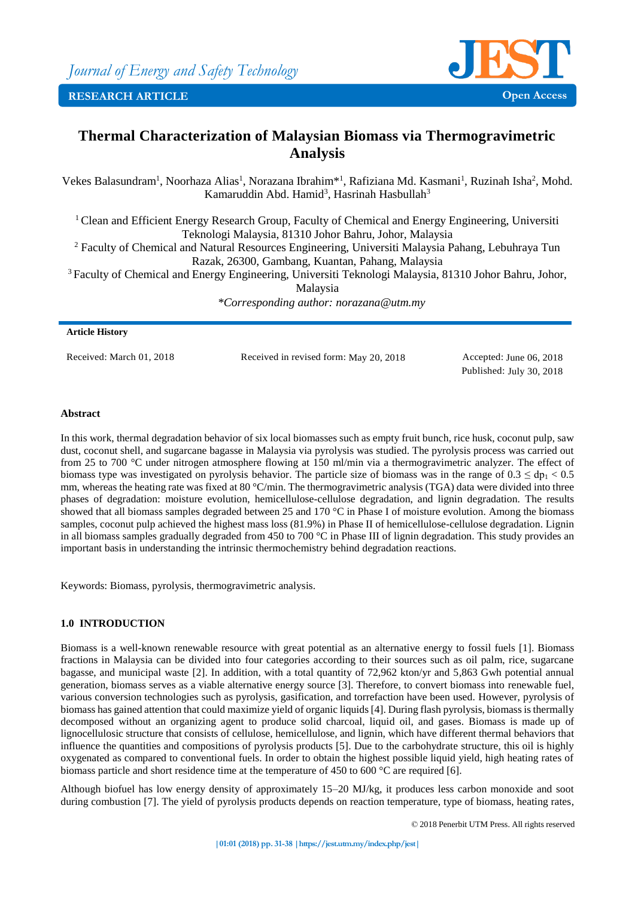

# **Thermal Characterization of Malaysian Biomass via Thermogravimetric Analysis**

Vekes Balasundram<sup>1</sup>, Noorhaza Alias<sup>1</sup>, Norazana Ibrahim<sup>\*1</sup>, Rafiziana Md. Kasmani<sup>1</sup>, Ruzinah Isha<sup>2</sup>, Mohd. Kamaruddin Abd. Hamid<sup>3</sup>, Hasrinah Hasbullah<sup>3</sup>

<sup>1</sup> Clean and Efficient Energy Research Group, Faculty of Chemical and Energy Engineering, Universiti Teknologi Malaysia, 81310 Johor Bahru, Johor, Malaysia

<sup>2</sup> Faculty of Chemical and Natural Resources Engineering, Universiti Malaysia Pahang, Lebuhraya Tun Razak, 26300, Gambang, Kuantan, Pahang, Malaysia

<sup>3</sup> Faculty of Chemical and Energy Engineering, Universiti Teknologi Malaysia, 81310 Johor Bahru, Johor, Malaysia

*\*Corresponding author: norazana@utm.my*

## **Article History**

Received: March 01, 2018 Received in revised form: May 20, 2018 Accepted: June 06, 2018

Published: July 30, 2018

# **Abstract**

In this work, thermal degradation behavior of six local biomasses such as empty fruit bunch, rice husk, coconut pulp, saw dust, coconut shell, and sugarcane bagasse in Malaysia via pyrolysis was studied. The pyrolysis process was carried out from 25 to 700 °C under nitrogen atmosphere flowing at 150 ml/min via a thermogravimetric analyzer. The effect of biomass type was investigated on pyrolysis behavior. The particle size of biomass was in the range of  $0.3 \leq d_{D1} < 0.5$ mm, whereas the heating rate was fixed at 80 °C/min. The thermogravimetric analysis (TGA) data were divided into three phases of degradation: moisture evolution, hemicellulose-cellulose degradation, and lignin degradation. The results showed that all biomass samples degraded between 25 and 170 °C in Phase I of moisture evolution. Among the biomass samples, coconut pulp achieved the highest mass loss (81.9%) in Phase II of hemicellulose-cellulose degradation. Lignin in all biomass samples gradually degraded from 450 to 700 °C in Phase III of lignin degradation. This study provides an important basis in understanding the intrinsic thermochemistry behind degradation reactions.

Keywords: Biomass, pyrolysis, thermogravimetric analysis.

# **1.0 INTRODUCTION**

Biomass is a well-known renewable resource with great potential as an alternative energy to fossil fuels [1]. Biomass fractions in Malaysia can be divided into four categories according to their sources such as oil palm, rice, sugarcane bagasse, and municipal waste [2]. In addition, with a total quantity of 72,962 kton/yr and 5,863 Gwh potential annual generation, biomass serves as a viable alternative energy source [3]. Therefore, to convert biomass into renewable fuel, various conversion technologies such as pyrolysis, gasification, and torrefaction have been used. However, pyrolysis of biomass has gained attention that could maximize yield of organic liquids [4]. During flash pyrolysis, biomass is thermally decomposed without an organizing agent to produce solid charcoal, liquid oil, and gases. Biomass is made up of lignocellulosic structure that consists of cellulose, hemicellulose, and lignin, which have different thermal behaviors that influence the quantities and compositions of pyrolysis products [5]. Due to the carbohydrate structure, this oil is highly oxygenated as compared to conventional fuels. In order to obtain the highest possible liquid yield, high heating rates of biomass particle and short residence time at the temperature of 450 to 600 °C are required [6].

Although biofuel has low energy density of approximately 15–20 MJ/kg, it produces less carbon monoxide and soot during combustion [7]. The yield of pyrolysis products depends on reaction temperature, type of biomass, heating rates,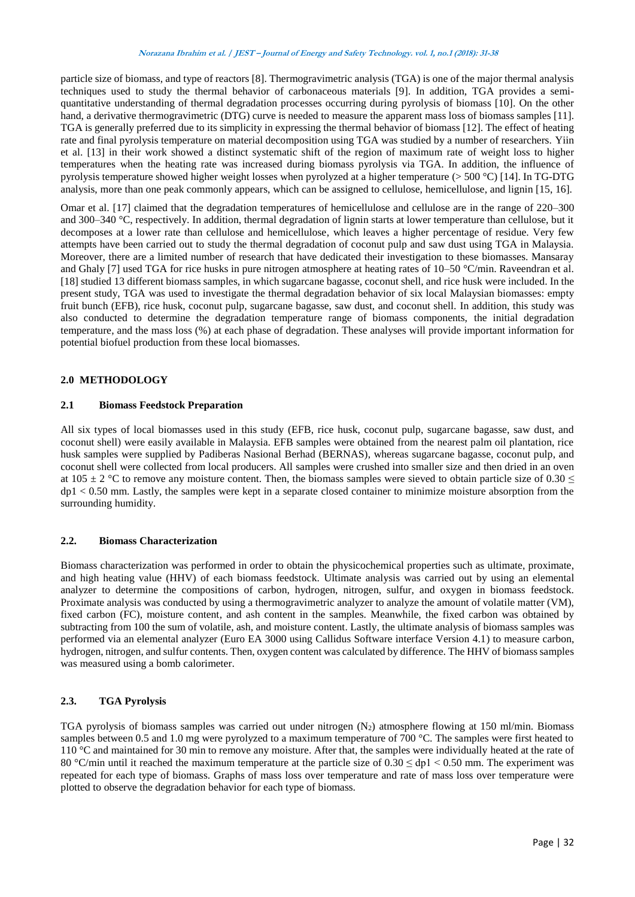particle size of biomass, and type of reactors [8]. Thermogravimetric analysis (TGA) is one of the major thermal analysis techniques used to study the thermal behavior of carbonaceous materials [9]. In addition, TGA provides a semiquantitative understanding of thermal degradation processes occurring during pyrolysis of biomass [10]. On the other hand, a derivative thermogravimetric (DTG) curve is needed to measure the apparent mass loss of biomass samples [11]. TGA is generally preferred due to its simplicity in expressing the thermal behavior of biomass [12]. The effect of heating rate and final pyrolysis temperature on material decomposition using TGA was studied by a number of researchers. Yiin et al. [13] in their work showed a distinct systematic shift of the region of maximum rate of weight loss to higher temperatures when the heating rate was increased during biomass pyrolysis via TGA. In addition, the influence of pyrolysis temperature showed higher weight losses when pyrolyzed at a higher temperature (> 500 °C) [14]. In TG-DTG analysis, more than one peak commonly appears, which can be assigned to cellulose, hemicellulose, and lignin [15, 16].

Omar et al. [17] claimed that the degradation temperatures of hemicellulose and cellulose are in the range of 220–300 and 300–340 °C, respectively. In addition, thermal degradation of lignin starts at lower temperature than cellulose, but it decomposes at a lower rate than cellulose and hemicellulose, which leaves a higher percentage of residue. Very few attempts have been carried out to study the thermal degradation of coconut pulp and saw dust using TGA in Malaysia. Moreover, there are a limited number of research that have dedicated their investigation to these biomasses. Mansaray and Ghaly [7] used TGA for rice husks in pure nitrogen atmosphere at heating rates of 10–50 °C/min. Raveendran et al. [18] studied 13 different biomass samples, in which sugarcane bagasse, coconut shell, and rice husk were included. In the present study, TGA was used to investigate the thermal degradation behavior of six local Malaysian biomasses: empty fruit bunch (EFB), rice husk, coconut pulp, sugarcane bagasse, saw dust, and coconut shell. In addition, this study was also conducted to determine the degradation temperature range of biomass components, the initial degradation temperature, and the mass loss (%) at each phase of degradation. These analyses will provide important information for potential biofuel production from these local biomasses.

## **2.0 METHODOLOGY**

## **2.1 Biomass Feedstock Preparation**

All six types of local biomasses used in this study (EFB, rice husk, coconut pulp, sugarcane bagasse, saw dust, and coconut shell) were easily available in Malaysia. EFB samples were obtained from the nearest palm oil plantation, rice husk samples were supplied by Padiberas Nasional Berhad (BERNAS), whereas sugarcane bagasse, coconut pulp, and coconut shell were collected from local producers. All samples were crushed into smaller size and then dried in an oven at 105  $\pm$  2 °C to remove any moisture content. Then, the biomass samples were sieved to obtain particle size of 0.30  $\le$ dp1 < 0.50 mm. Lastly, the samples were kept in a separate closed container to minimize moisture absorption from the surrounding humidity.

## **2.2. Biomass Characterization**

Biomass characterization was performed in order to obtain the physicochemical properties such as ultimate, proximate, and high heating value (HHV) of each biomass feedstock. Ultimate analysis was carried out by using an elemental analyzer to determine the compositions of carbon, hydrogen, nitrogen, sulfur, and oxygen in biomass feedstock. Proximate analysis was conducted by using a thermogravimetric analyzer to analyze the amount of volatile matter (VM), fixed carbon (FC), moisture content, and ash content in the samples. Meanwhile, the fixed carbon was obtained by subtracting from 100 the sum of volatile, ash, and moisture content. Lastly, the ultimate analysis of biomass samples was performed via an elemental analyzer (Euro EA 3000 using Callidus Software interface Version 4.1) to measure carbon, hydrogen, nitrogen, and sulfur contents. Then, oxygen content was calculated by difference. The HHV of biomass samples was measured using a bomb calorimeter.

# **2.3. TGA Pyrolysis**

TGA pyrolysis of biomass samples was carried out under nitrogen  $(N_2)$  atmosphere flowing at 150 ml/min. Biomass samples between 0.5 and 1.0 mg were pyrolyzed to a maximum temperature of 700 °C. The samples were first heated to 110 °C and maintained for 30 min to remove any moisture. After that, the samples were individually heated at the rate of 80 °C/min until it reached the maximum temperature at the particle size of  $0.30 \leq$  dp1  $\leq$  0.50 mm. The experiment was repeated for each type of biomass. Graphs of mass loss over temperature and rate of mass loss over temperature were plotted to observe the degradation behavior for each type of biomass.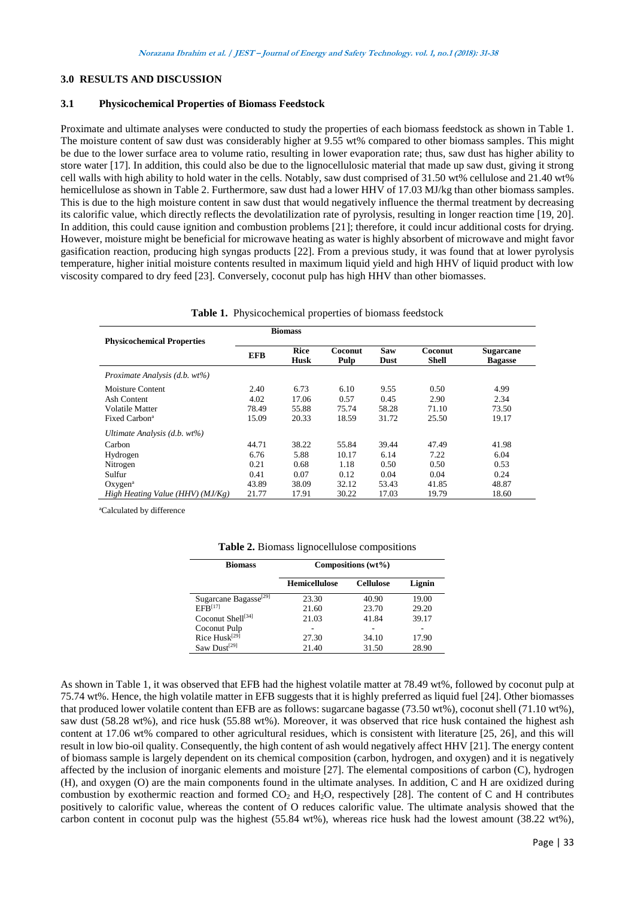# **3.0 RESULTS AND DISCUSSION**

## **3.1 Physicochemical Properties of Biomass Feedstock**

Proximate and ultimate analyses were conducted to study the properties of each biomass feedstock as shown in Table 1. The moisture content of saw dust was considerably higher at 9.55 wt% compared to other biomass samples. This might be due to the lower surface area to volume ratio, resulting in lower evaporation rate; thus, saw dust has higher ability to store water [17]. In addition, this could also be due to the lignocellulosic material that made up saw dust, giving it strong cell walls with high ability to hold water in the cells. Notably, saw dust comprised of 31.50 wt% cellulose and 21.40 wt% hemicellulose as shown in Table 2. Furthermore, saw dust had a lower HHV of 17.03 MJ/kg than other biomass samples. This is due to the high moisture content in saw dust that would negatively influence the thermal treatment by decreasing its calorific value, which directly reflects the devolatilization rate of pyrolysis, resulting in longer reaction time [19, 20]. In addition, this could cause ignition and combustion problems [21]; therefore, it could incur additional costs for drying. However, moisture might be beneficial for microwave heating as water is highly absorbent of microwave and might favor gasification reaction, producing high syngas products [22]. From a previous study, it was found that at lower pyrolysis temperature, higher initial moisture contents resulted in maximum liquid yield and high HHV of liquid product with low viscosity compared to dry feed [23]. Conversely, coconut pulp has high HHV than other biomasses.

|  | Table 1. Physicochemical properties of biomass feedstock |  |  |  |
|--|----------------------------------------------------------|--|--|--|
|--|----------------------------------------------------------|--|--|--|

|                                                                                        |                                | <b>Biomass</b>                  |                                |                                |                                |                                    |
|----------------------------------------------------------------------------------------|--------------------------------|---------------------------------|--------------------------------|--------------------------------|--------------------------------|------------------------------------|
| <b>Physicochemical Properties</b>                                                      | <b>EFB</b>                     | <b>Rice</b><br><b>Husk</b>      | Coconut<br>Pulp                | Saw<br>Dust                    | Coconut<br><b>Shell</b>        | <b>Sugarcane</b><br><b>Bagasse</b> |
| Proximate Analysis (d.b. wt%)                                                          |                                |                                 |                                |                                |                                |                                    |
| Moisture Content<br>Ash Content<br><b>Volatile Matter</b><br>Fixed Carbon <sup>a</sup> | 2.40<br>4.02<br>78.49<br>15.09 | 6.73<br>17.06<br>55.88<br>20.33 | 6.10<br>0.57<br>75.74<br>18.59 | 9.55<br>0.45<br>58.28<br>31.72 | 0.50<br>2.90<br>71.10<br>25.50 | 4.99<br>2.34<br>73.50<br>19.17     |
| Ultimate Analysis $(d.b. wt\%)$                                                        |                                |                                 |                                |                                |                                |                                    |
| Carbon                                                                                 | 44.71                          | 38.22                           | 55.84                          | 39.44                          | 47.49                          | 41.98                              |
| Hydrogen                                                                               | 6.76                           | 5.88                            | 10.17                          | 6.14                           | 7.22                           | 6.04                               |
| Nitrogen                                                                               | 0.21                           | 0.68                            | 1.18                           | 0.50                           | 0.50                           | 0.53                               |
| Sulfur                                                                                 | 0.41                           | 0.07                            | 0.12                           | 0.04                           | 0.04                           | 0.24                               |
| Oxygen <sup>a</sup>                                                                    | 43.89                          | 38.09                           | 32.12                          | 53.43                          | 41.85                          | 48.87                              |
| High Heating Value (HHV) ( $MJ/Kg$ )                                                   | 21.77                          | 17.91                           | 30.22                          | 17.03                          | 19.79                          | 18.60                              |

<sup>a</sup>Calculated by difference

| Table 2. Biomass lignocellulose compositions |  |  |
|----------------------------------------------|--|--|
|----------------------------------------------|--|--|

| <b>Biomass</b>                    | Compositions $(wt\%)$ |                  |        |  |  |
|-----------------------------------|-----------------------|------------------|--------|--|--|
|                                   | <b>Hemicellulose</b>  | <b>Cellulose</b> | Lignin |  |  |
| Sugarcane Bagasse <sup>[29]</sup> | 23.30                 | 40.90            | 19.00  |  |  |
| EFR <sup>[17]</sup>               | 21.60                 | 23.70            | 29.20  |  |  |
| Coconut Shell <sup>[34]</sup>     | 21.03                 | 41.84            | 39.17  |  |  |
| Coconut Pulp                      |                       |                  |        |  |  |
| Rice $Husk^{[29]}$                | 27.30                 | 34.10            | 17.90  |  |  |
| Saw Dust <sup>[29]</sup>          | 21.40                 | 31.50            | 28.90  |  |  |

As shown in Table 1, it was observed that EFB had the highest volatile matter at 78.49 wt%, followed by coconut pulp at 75.74 wt%. Hence, the high volatile matter in EFB suggests that it is highly preferred as liquid fuel [24]. Other biomasses that produced lower volatile content than EFB are as follows: sugarcane bagasse (73.50 wt%), coconut shell (71.10 wt%), saw dust (58.28 wt%), and rice husk (55.88 wt%). Moreover, it was observed that rice husk contained the highest ash content at 17.06 wt% compared to other agricultural residues, which is consistent with literature [25, 26], and this will result in low bio-oil quality. Consequently, the high content of ash would negatively affect HHV [21]. The energy content of biomass sample is largely dependent on its chemical composition (carbon, hydrogen, and oxygen) and it is negatively affected by the inclusion of inorganic elements and moisture [27]. The elemental compositions of carbon (C), hydrogen (H), and oxygen (O) are the main components found in the ultimate analyses. In addition, C and H are oxidized during combustion by exothermic reaction and formed  $CO<sub>2</sub>$  and  $H<sub>2</sub>O$ , respectively [28]. The content of C and H contributes positively to calorific value, whereas the content of O reduces calorific value. The ultimate analysis showed that the carbon content in coconut pulp was the highest (55.84 wt%), whereas rice husk had the lowest amount (38.22 wt%),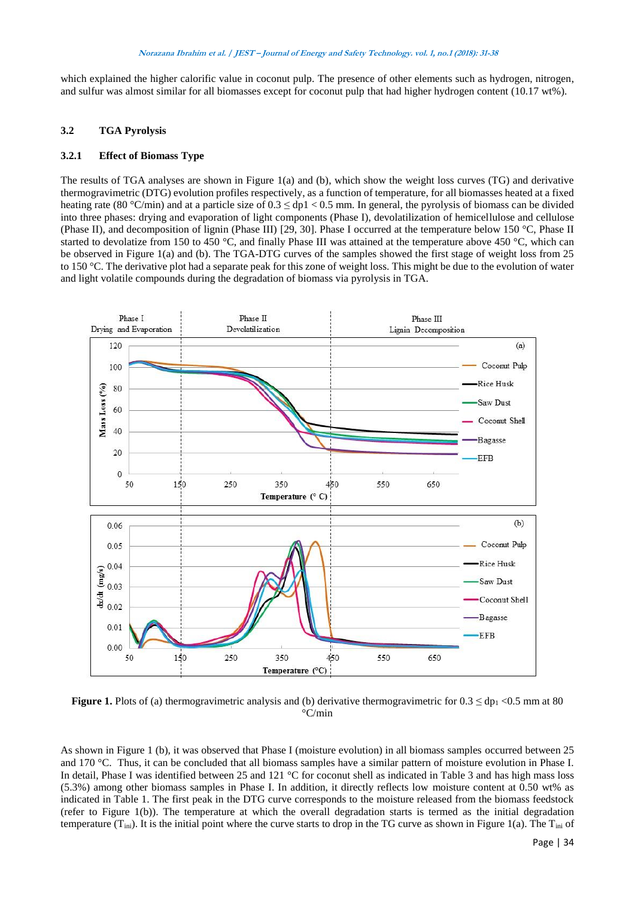which explained the higher calorific value in coconut pulp. The presence of other elements such as hydrogen, nitrogen, and sulfur was almost similar for all biomasses except for coconut pulp that had higher hydrogen content (10.17 wt%).

## **3.2 TGA Pyrolysis**

## **3.2.1 Effect of Biomass Type**

The results of TGA analyses are shown in Figure 1(a) and (b), which show the weight loss curves (TG) and derivative thermogravimetric (DTG) evolution profiles respectively, as a function of temperature, for all biomasses heated at a fixed heating rate (80 °C/min) and at a particle size of  $0.3 \leq$  dp1 < 0.5 mm. In general, the pyrolysis of biomass can be divided into three phases: drying and evaporation of light components (Phase I), devolatilization of hemicellulose and cellulose (Phase II), and decomposition of lignin (Phase III) [29, 30]. Phase I occurred at the temperature below 150 °C, Phase II started to devolatize from 150 to 450  $^{\circ}$ C, and finally Phase III was attained at the temperature above 450  $^{\circ}$ C, which can be observed in Figure 1(a) and (b). The TGA-DTG curves of the samples showed the first stage of weight loss from 25 to 150 °C. The derivative plot had a separate peak for this zone of weight loss. This might be due to the evolution of water and light volatile compounds during the degradation of biomass via pyrolysis in TGA.



**Figure 1.** Plots of (a) thermogravimetric analysis and (b) derivative thermogravimetric for  $0.3 \leq dp_1 < 0.5$  mm at 80 °C/min

As shown in Figure 1 (b), it was observed that Phase I (moisture evolution) in all biomass samples occurred between 25 and 170 °C. Thus, it can be concluded that all biomass samples have a similar pattern of moisture evolution in Phase I. In detail, Phase I was identified between 25 and 121 °C for coconut shell as indicated in Table 3 and has high mass loss (5.3%) among other biomass samples in Phase I. In addition, it directly reflects low moisture content at 0.50 wt% as indicated in Table 1. The first peak in the DTG curve corresponds to the moisture released from the biomass feedstock (refer to Figure 1(b)). The temperature at which the overall degradation starts is termed as the initial degradation temperature  $(T_{\text{ini}})$ . It is the initial point where the curve starts to drop in the TG curve as shown in Figure 1(a). The  $T_{\text{ini}}$  of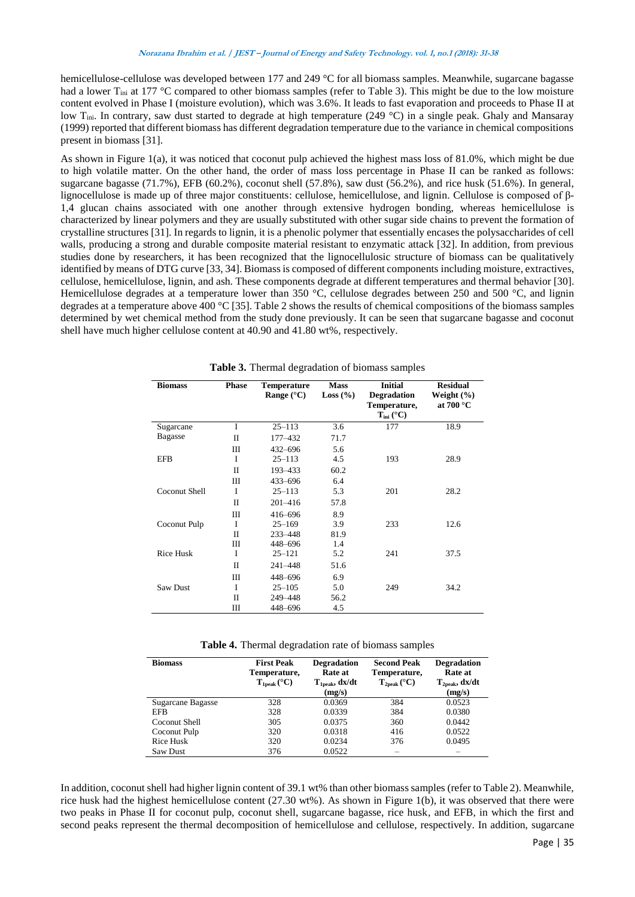hemicellulose-cellulose was developed between 177 and 249 °C for all biomass samples. Meanwhile, sugarcane bagasse had a lower T<sub>ini</sub> at 177 °C compared to other biomass samples (refer to Table 3). This might be due to the low moisture content evolved in Phase I (moisture evolution), which was 3.6%. It leads to fast evaporation and proceeds to Phase II at low T<sub>ini</sub>. In contrary, saw dust started to degrade at high temperature (249 °C) in a single peak. Ghaly and Mansaray (1999) reported that different biomass has different degradation temperature due to the variance in chemical compositions present in biomass [31].

As shown in Figure 1(a), it was noticed that coconut pulp achieved the highest mass loss of 81.0%, which might be due to high volatile matter. On the other hand, the order of mass loss percentage in Phase II can be ranked as follows: sugarcane bagasse (71.7%), EFB (60.2%), coconut shell (57.8%), saw dust (56.2%), and rice husk (51.6%). In general, lignocellulose is made up of three major constituents: cellulose, hemicellulose, and lignin. Cellulose is composed of β-1,4 glucan chains associated with one another through extensive hydrogen bonding, whereas hemicellulose is characterized by linear polymers and they are usually substituted with other sugar side chains to prevent the formation of crystalline structures [31]. In regards to lignin, it is a phenolic polymer that essentially encases the polysaccharides of cell walls, producing a strong and durable composite material resistant to enzymatic attack [32]. In addition, from previous studies done by researchers, it has been recognized that the lignocellulosic structure of biomass can be qualitatively identified by means of DTG curve [33, 34]. Biomass is composed of different components including moisture, extractives, cellulose, hemicellulose, lignin, and ash. These components degrade at different temperatures and thermal behavior [30]. Hemicellulose degrades at a temperature lower than 350 °C, cellulose degrades between 250 and 500 °C, and lignin degrades at a temperature above 400 °C [35]. Table 2 shows the results of chemical compositions of the biomass samples determined by wet chemical method from the study done previously. It can be seen that sugarcane bagasse and coconut shell have much higher cellulose content at 40.90 and 41.80 wt%, respectively.

| <b>Biomass</b>   | <b>Phase</b> | <b>Temperature</b><br>Range $(^{\circ}C)$ | <b>Mass</b><br>Loss $(\% )$ | <b>Initial</b><br><b>Degradation</b><br>Temperature,<br>$T_{\text{ini}}$ (°C) | <b>Residual</b><br>Weight $(\% )$<br>at $700\text{ °C}$ |
|------------------|--------------|-------------------------------------------|-----------------------------|-------------------------------------------------------------------------------|---------------------------------------------------------|
| Sugarcane        | I            | $25 - 113$                                | 3.6                         | 177                                                                           | 18.9                                                    |
| <b>Bagasse</b>   | H            | 177-432                                   | 71.7                        |                                                                               |                                                         |
|                  | Ш            | $432 - 696$                               | 5.6                         |                                                                               |                                                         |
| <b>EFB</b>       | I            | $25 - 113$                                | 4.5                         | 193                                                                           | 28.9                                                    |
|                  | П            | 193-433                                   | 60.2                        |                                                                               |                                                         |
|                  | Ш            | $433 - 696$                               | 6.4                         |                                                                               |                                                         |
| Coconut Shell    | I            | $25 - 113$                                | 5.3                         | 201                                                                           | 28.2                                                    |
|                  | П            | $201 - 416$                               | 57.8                        |                                                                               |                                                         |
|                  | Ш            | 416-696                                   | 8.9                         |                                                                               |                                                         |
| Coconut Pulp     | I            | $25 - 169$                                | 3.9                         | 233                                                                           | 12.6                                                    |
|                  | $\mathbf{I}$ | 233-448                                   | 81.9                        |                                                                               |                                                         |
|                  | Ш            | 448-696                                   | 1.4                         |                                                                               |                                                         |
| <b>Rice Husk</b> | I            | $25 - 121$                                | 5.2                         | 241                                                                           | 37.5                                                    |
|                  | H            | 241-448                                   | 51.6                        |                                                                               |                                                         |
|                  | Ш            | 448-696                                   | 6.9                         |                                                                               |                                                         |
| Saw Dust         | I            | $25 - 105$                                | 5.0                         | 249                                                                           | 34.2                                                    |
|                  | П            | 249-448                                   | 56.2                        |                                                                               |                                                         |
|                  | Ш            | 448-696                                   | 4.5                         |                                                                               |                                                         |

**Table 3.** Thermal degradation of biomass samples

**Table 4.** Thermal degradation rate of biomass samples

| <b>Biomass</b>    | <b>First Peak</b><br>Temperature,<br>$T_{\rm 1peak}$ (°C) | <b>Degradation</b><br>Rate at<br>$T_{\rm 1peak}, \mathrm{dx/dt}$<br>(mg/s) | <b>Second Peak</b><br>Temperature,<br>$T_{2peak}$ (°C) | <b>Degradation</b><br>Rate at<br>$T_{2peak}, dx/dt$<br>(mg/s) |
|-------------------|-----------------------------------------------------------|----------------------------------------------------------------------------|--------------------------------------------------------|---------------------------------------------------------------|
| Sugarcane Bagasse | 328                                                       | 0.0369                                                                     | 384                                                    | 0.0523                                                        |
| EFB               | 328                                                       | 0.0339                                                                     | 384                                                    | 0.0380                                                        |
| Coconut Shell     | 305                                                       | 0.0375                                                                     | 360                                                    | 0.0442                                                        |
| Coconut Pulp      | 320                                                       | 0.0318                                                                     | 416                                                    | 0.0522                                                        |
| Rice Husk         | 320                                                       | 0.0234                                                                     | 376                                                    | 0.0495                                                        |
| Saw Dust          | 376                                                       | 0.0522                                                                     | $\overline{\phantom{a}}$                               | $\overline{\phantom{a}}$                                      |

In addition, coconut shell had higher lignin content of 39.1 wt% than other biomass samples (refer to Table 2). Meanwhile, rice husk had the highest hemicellulose content (27.30 wt%). As shown in Figure 1(b), it was observed that there were two peaks in Phase II for coconut pulp, coconut shell, sugarcane bagasse, rice husk, and EFB, in which the first and second peaks represent the thermal decomposition of hemicellulose and cellulose, respectively. In addition, sugarcane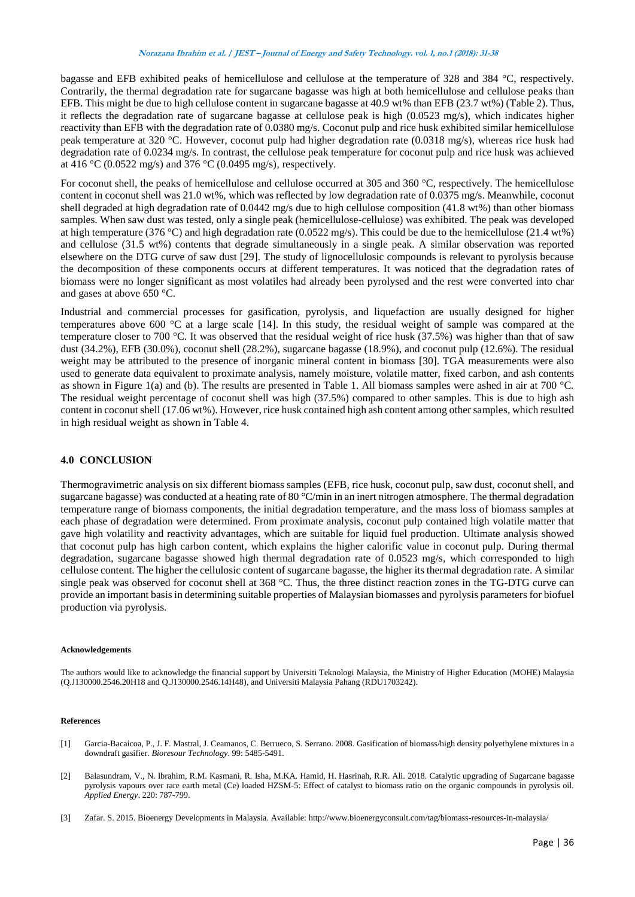bagasse and EFB exhibited peaks of hemicellulose and cellulose at the temperature of 328 and 384 °C, respectively. Contrarily, the thermal degradation rate for sugarcane bagasse was high at both hemicellulose and cellulose peaks than EFB. This might be due to high cellulose content in sugarcane bagasse at 40.9 wt% than EFB (23.7 wt%) (Table 2). Thus, it reflects the degradation rate of sugarcane bagasse at cellulose peak is high (0.0523 mg/s), which indicates higher reactivity than EFB with the degradation rate of 0.0380 mg/s. Coconut pulp and rice husk exhibited similar hemicellulose peak temperature at 320 °C. However, coconut pulp had higher degradation rate (0.0318 mg/s), whereas rice husk had degradation rate of 0.0234 mg/s. In contrast, the cellulose peak temperature for coconut pulp and rice husk was achieved at 416 °C (0.0522 mg/s) and 376 °C (0.0495 mg/s), respectively.

For coconut shell, the peaks of hemicellulose and cellulose occurred at 305 and 360 °C, respectively. The hemicellulose content in coconut shell was 21.0 wt%, which was reflected by low degradation rate of 0.0375 mg/s. Meanwhile, coconut shell degraded at high degradation rate of 0.0442 mg/s due to high cellulose composition (41.8 wt%) than other biomass samples. When saw dust was tested, only a single peak (hemicellulose-cellulose) was exhibited. The peak was developed at high temperature (376 °C) and high degradation rate (0.0522 mg/s). This could be due to the hemicellulose (21.4 wt%) and cellulose (31.5 wt%) contents that degrade simultaneously in a single peak. A similar observation was reported elsewhere on the DTG curve of saw dust [29]. The study of lignocellulosic compounds is relevant to pyrolysis because the decomposition of these components occurs at different temperatures. It was noticed that the degradation rates of biomass were no longer significant as most volatiles had already been pyrolysed and the rest were converted into char and gases at above 650 °C.

Industrial and commercial processes for gasification, pyrolysis, and liquefaction are usually designed for higher temperatures above 600 °C at a large scale [14]. In this study, the residual weight of sample was compared at the temperature closer to 700 °C. It was observed that the residual weight of rice husk (37.5%) was higher than that of saw dust (34.2%), EFB (30.0%), coconut shell (28.2%), sugarcane bagasse (18.9%), and coconut pulp (12.6%). The residual weight may be attributed to the presence of inorganic mineral content in biomass [30]. TGA measurements were also used to generate data equivalent to proximate analysis, namely moisture, volatile matter, fixed carbon, and ash contents as shown in Figure 1(a) and (b). The results are presented in Table 1. All biomass samples were ashed in air at 700 °C. The residual weight percentage of coconut shell was high (37.5%) compared to other samples. This is due to high ash content in coconut shell (17.06 wt%). However, rice husk contained high ash content among other samples, which resulted in high residual weight as shown in Table 4.

# **4.0 CONCLUSION**

Thermogravimetric analysis on six different biomass samples (EFB, rice husk, coconut pulp, saw dust, coconut shell, and sugarcane bagasse) was conducted at a heating rate of 80 °C/min in an inert nitrogen atmosphere. The thermal degradation temperature range of biomass components, the initial degradation temperature, and the mass loss of biomass samples at each phase of degradation were determined. From proximate analysis, coconut pulp contained high volatile matter that gave high volatility and reactivity advantages, which are suitable for liquid fuel production. Ultimate analysis showed that coconut pulp has high carbon content, which explains the higher calorific value in coconut pulp. During thermal degradation, sugarcane bagasse showed high thermal degradation rate of 0.0523 mg/s, which corresponded to high cellulose content. The higher the cellulosic content of sugarcane bagasse, the higher its thermal degradation rate. A similar single peak was observed for coconut shell at 368 °C. Thus, the three distinct reaction zones in the TG-DTG curve can provide an important basis in determining suitable properties of Malaysian biomasses and pyrolysis parameters for biofuel production via pyrolysis.

## **Acknowledgements**

The authors would like to acknowledge the financial support by Universiti Teknologi Malaysia, the Ministry of Higher Education (MOHE) Malaysia (Q.J130000.2546.20H18 and Q.J130000.2546.14H48), and Universiti Malaysia Pahang (RDU1703242).

## **References**

- [1] Garcia-Bacaicoa, P., J. F. Mastral, J. Ceamanos, C. Berrueco, S. Serrano. 2008. Gasification of biomass/high density polyethylene mixtures in a downdraft gasifier. *Bioresour Technology*. 99: 5485-5491.
- [2] Balasundram, V., N. Ibrahim, R.M. Kasmani, R. Isha, M.KA. Hamid, H. Hasrinah, R.R. Ali. 2018. Catalytic upgrading of Sugarcane bagasse pyrolysis vapours over rare earth metal (Ce) loaded HZSM-5: Effect of catalyst to biomass ratio on the organic compounds in pyrolysis oil. *Applied Energy*. 220: 787-799.
- [3] Zafar. S. 2015. Bioenergy Developments in Malaysia. Available: http://www.bioenergyconsult.com/tag/biomass-resources-in-malaysia/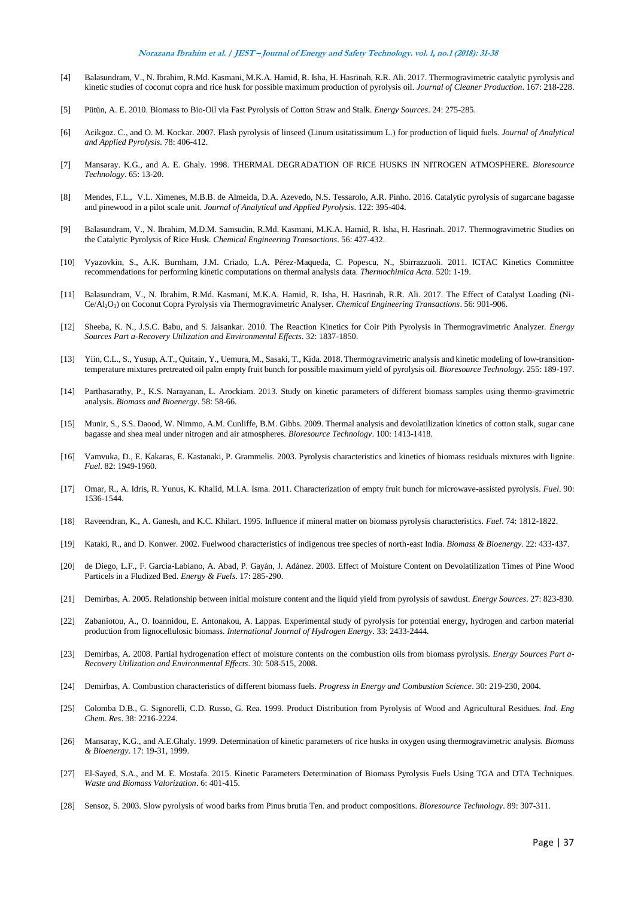- [4] Balasundram, V., N. Ibrahim, R.Md. Kasmani, M.K.A. Hamid, R. Isha, H. Hasrinah, R.R. Ali. 2017. Thermogravimetric catalytic pyrolysis and kinetic studies of coconut copra and rice husk for possible maximum production of pyrolysis oil. *Journal of Cleaner Production*. 167: 218-228.
- [5] Pütün, A. E. 2010. Biomass to Bio-Oil via Fast Pyrolysis of Cotton Straw and Stalk. *Energy Sources*. 24: 275-285.
- [6] Acikgoz. C., and O. M. Kockar. 2007. Flash pyrolysis of linseed (Linum usitatissimum L.) for production of liquid fuels. *Journal of Analytical and Applied Pyrolysis*. 78: 406-412.
- [7] Mansaray. K.G., and A. E. Ghaly. 1998. THERMAL DEGRADATION OF RICE HUSKS IN NITROGEN ATMOSPHERE. *Bioresource Technology*. 65: 13-20.
- [8] Mendes, F.L., V.L. Ximenes, M.B.B. de Almeida, D.A. Azevedo, N.S. Tessarolo, A.R. Pinho. 2016. Catalytic pyrolysis of sugarcane bagasse and pinewood in a pilot scale unit. *Journal of Analytical and Applied Pyrolysis*. 122: 395-404.
- [9] Balasundram, V., N. Ibrahim, M.D.M. Samsudin, R.Md. Kasmani, M.K.A. Hamid, R. Isha, H. Hasrinah. 2017. Thermogravimetric Studies on the Catalytic Pyrolysis of Rice Husk. *Chemical Engineering Transactions*. 56: 427-432.
- [10] Vyazovkin, S., A.K. Burnham, J.M. Criado, L.A. Pérez-Maqueda, C. Popescu, N., Sbirrazzuoli. 2011. ICTAC Kinetics Committee recommendations for performing kinetic computations on thermal analysis data. *Thermochimica Acta*. 520: 1-19.
- [11] Balasundram, V., N. Ibrahim, R.Md. Kasmani, M.K.A. Hamid, R. Isha, H. Hasrinah, R.R. Ali. 2017. The Effect of Catalyst Loading (Ni-Ce/Al2O3) on Coconut Copra Pyrolysis via Thermogravimetric Analyser. *Chemical Engineering Transactions*. 56: 901-906.
- [12] Sheeba, K. N., J.S.C. Babu, and S. Jaisankar. 2010. The Reaction Kinetics for Coir Pith Pyrolysis in Thermogravimetric Analyzer. *Energy Sources Part a-Recovery Utilization and Environmental Effects*. 32: 1837-1850.
- [13] Yiin, C.L., S., Yusup, A.T., Quitain, Y., Uemura, M., Sasaki, T., Kida. 2018. Thermogravimetric analysis and kinetic modeling of low-transitiontemperature mixtures pretreated oil palm empty fruit bunch for possible maximum yield of pyrolysis oil. *Bioresource Technology*. 255: 189-197.
- [14] Parthasarathy, P., K.S. Narayanan, L. Arockiam. 2013. Study on kinetic parameters of different biomass samples using thermo-gravimetric analysis. *Biomass and Bioenergy*. 58: 58-66.
- [15] Munir, S., S.S. Daood, W. Nimmo, A.M. Cunliffe, B.M. Gibbs. 2009. Thermal analysis and devolatilization kinetics of cotton stalk, sugar cane bagasse and shea meal under nitrogen and air atmospheres. *Bioresource Technology*. 100: 1413-1418.
- [16] Vamvuka, D., E. Kakaras, E. Kastanaki, P. Grammelis. 2003. Pyrolysis characteristics and kinetics of biomass residuals mixtures with lignite. *Fuel*. 82: 1949-1960.
- [17] Omar, R., A. Idris, R. Yunus, K. Khalid, M.I.A. Isma. 2011. Characterization of empty fruit bunch for microwave-assisted pyrolysis. *Fuel*. 90: 1536-1544.
- [18] Raveendran, K., A. Ganesh, and K.C. Khilart. 1995. Influence if mineral matter on biomass pyrolysis characteristics. *Fuel*. 74: 1812-1822.
- [19] Kataki, R., and D. Konwer. 2002. Fuelwood characteristics of indigenous tree species of north-east India. *Biomass & Bioenergy*. 22: 433-437.
- [20] de Diego, L.F., F. Garcia-Labiano, A. Abad, P. Gayán, J. Adánez. 2003. Effect of Moisture Content on Devolatilization Times of Pine Wood Particels in a Fludized Bed. *Energy & Fuels*. 17: 285-290.
- [21] Demirbas, A. 2005. Relationship between initial moisture content and the liquid yield from pyrolysis of sawdust. *Energy Sources*. 27: 823-830.
- [22] Zabaniotou, A., O. Ioannidou, E. Antonakou, A. Lappas. Experimental study of pyrolysis for potential energy, hydrogen and carbon material production from lignocellulosic biomass. *International Journal of Hydrogen Energy*. 33: 2433-2444.
- [23] Demirbas, A. 2008. Partial hydrogenation effect of moisture contents on the combustion oils from biomass pyrolysis. *Energy Sources Part a-Recovery Utilization and Environmental Effects*. 30: 508-515, 2008.
- [24] Demirbas, A. Combustion characteristics of different biomass fuels. *Progress in Energy and Combustion Science*. 30: 219-230, 2004.
- [25] Colomba D.B., G. Signorelli, C.D. Russo, G. Rea. 1999. Product Distribution from Pyrolysis of Wood and Agricultural Residues. *Ind. Eng Chem. Res*. 38: 2216-2224.
- [26] Mansaray, K.G., and A.E.Ghaly. 1999. Determination of kinetic parameters of rice husks in oxygen using thermogravimetric analysis. *Biomass & Bioenergy*. 17: 19-31, 1999.
- [27] El-Sayed, S.A., and M. E. Mostafa. 2015. Kinetic Parameters Determination of Biomass Pyrolysis Fuels Using TGA and DTA Techniques. *Waste and Biomass Valorization*. 6: 401-415.
- [28] Sensoz, S. 2003. Slow pyrolysis of wood barks from Pinus brutia Ten. and product compositions. *Bioresource Technology*. 89: 307-311.